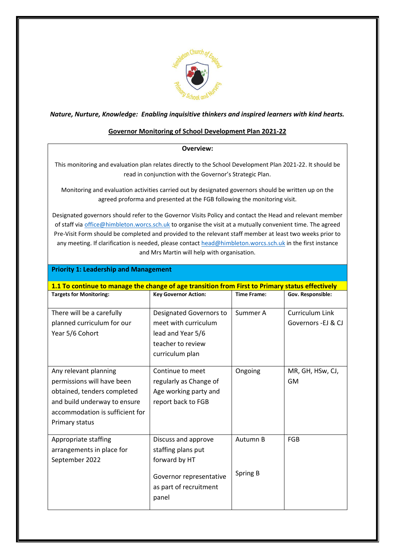

## *Nature, Nurture, Knowledge: Enabling inquisitive thinkers and inspired learners with kind hearts.*

## **Governor Monitoring of School Development Plan 2021-22**

### **Overview:**

This monitoring and evaluation plan relates directly to the School Development Plan 2021-22. It should be read in conjunction with the Governor's Strategic Plan.

Monitoring and evaluation activities carried out by designated governors should be written up on the agreed proforma and presented at the FGB following the monitoring visit.

Designated governors should refer to the Governor Visits Policy and contact the Head and relevant member of staff vi[a office@himbleton.worcs.sch.uk](mailto:office@himbleton.worcs.sch.uk) to organise the visit at a mutually convenient time. The agreed Pre-Visit Form should be completed and provided to the relevant staff member at least two weeks prior to any meeting. If clarification is needed, please contac[t head@himbleton.worcs.sch.uk](mailto:head@himbleton.worcs.sch.uk) in the first instance and Mrs Martin will help with organisation.

#### **Priority 1: Leadership and Management**

| 1.1 To continue to manage the change of age transition from First to Primary status effectively |                             |                    |                    |
|-------------------------------------------------------------------------------------------------|-----------------------------|--------------------|--------------------|
| <b>Targets for Monitoring:</b>                                                                  | <b>Key Governor Action:</b> | <b>Time Frame:</b> | Gov. Responsible:  |
|                                                                                                 |                             |                    |                    |
| There will be a carefully                                                                       | Designated Governors to     | Summer A           | Curriculum Link    |
| planned curriculum for our                                                                      | meet with curriculum        |                    | Governors -EJ & CJ |
| Year 5/6 Cohort                                                                                 | lead and Year 5/6           |                    |                    |
|                                                                                                 | teacher to review           |                    |                    |
|                                                                                                 | curriculum plan             |                    |                    |
|                                                                                                 |                             |                    |                    |
| Any relevant planning                                                                           | Continue to meet            | Ongoing            | MR, GH, HSw, CJ,   |
| permissions will have been                                                                      | regularly as Change of      |                    | <b>GM</b>          |
| obtained, tenders completed                                                                     | Age working party and       |                    |                    |
| and build underway to ensure                                                                    | report back to FGB          |                    |                    |
| accommodation is sufficient for                                                                 |                             |                    |                    |
| Primary status                                                                                  |                             |                    |                    |
|                                                                                                 |                             |                    |                    |
| Appropriate staffing                                                                            | Discuss and approve         | Autumn B           | <b>FGB</b>         |
| arrangements in place for                                                                       | staffing plans put          |                    |                    |
| September 2022                                                                                  | forward by HT               |                    |                    |
|                                                                                                 |                             | Spring B           |                    |
|                                                                                                 | Governor representative     |                    |                    |
|                                                                                                 | as part of recruitment      |                    |                    |
|                                                                                                 | panel                       |                    |                    |
|                                                                                                 |                             |                    |                    |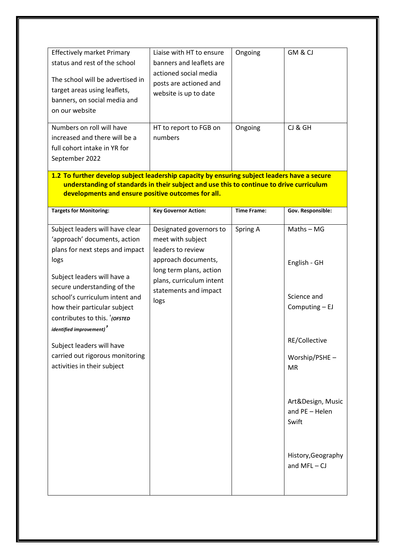| <b>Effectively market Primary</b><br>status and rest of the school<br>The school will be advertised in<br>target areas using leaflets,<br>banners, on social media and<br>on our website                                                       | Liaise with HT to ensure<br>banners and leaflets are<br>actioned social media<br>posts are actioned and<br>website is up to date | Ongoing            | GM & CJ                                                            |                                               |
|------------------------------------------------------------------------------------------------------------------------------------------------------------------------------------------------------------------------------------------------|----------------------------------------------------------------------------------------------------------------------------------|--------------------|--------------------------------------------------------------------|-----------------------------------------------|
| Numbers on roll will have<br>increased and there will be a<br>full cohort intake in YR for<br>September 2022                                                                                                                                   | HT to report to FGB on<br>numbers                                                                                                | Ongoing            | CJ & GH                                                            |                                               |
| 1.2 To further develop subject leadership capacity by ensuring subject leaders have a secure<br>understanding of standards in their subject and use this to continue to drive curriculum<br>developments and ensure positive outcomes for all. |                                                                                                                                  |                    |                                                                    |                                               |
| <b>Targets for Monitoring:</b>                                                                                                                                                                                                                 | <b>Key Governor Action:</b>                                                                                                      | <b>Time Frame:</b> | Gov. Responsible:                                                  |                                               |
| Subject leaders will have clear<br>'approach' documents, action<br>plans for next steps and impact                                                                                                                                             | Designated governors to<br>meet with subject<br>leaders to review                                                                | Spring A           | $Maths - MG$                                                       |                                               |
| logs<br>Subject leaders will have a<br>secure understanding of the<br>school's curriculum intent and<br>how their particular subject<br>contributes to this. '(OFSTED<br><i>identified improvement)</i>                                        | approach documents,<br>long term plans, action<br>plans, curriculum intent<br>statements and impact<br>logs                      |                    |                                                                    | English - GH<br>Science and<br>Computing - EJ |
| Subject leaders will have<br>carried out rigorous monitoring<br>activities in their subject                                                                                                                                                    |                                                                                                                                  |                    | RE/Collective<br>Worship/PSHE-<br><b>MR</b>                        |                                               |
|                                                                                                                                                                                                                                                |                                                                                                                                  |                    | Art&Design, Music<br>and PE - Helen<br>Swift<br>History, Geography |                                               |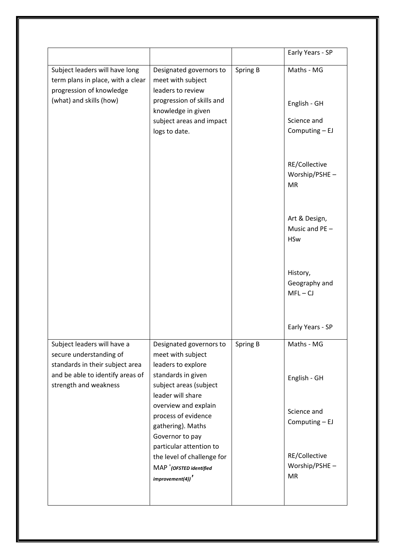|                                                                                                                            |                                                                                                                                                                   |          | Early Years - SP                                            |
|----------------------------------------------------------------------------------------------------------------------------|-------------------------------------------------------------------------------------------------------------------------------------------------------------------|----------|-------------------------------------------------------------|
| Subject leaders will have long<br>term plans in place, with a clear<br>progression of knowledge<br>(what) and skills (how) | Designated governors to<br>meet with subject<br>leaders to review<br>progression of skills and<br>knowledge in given<br>subject areas and impact<br>logs to date. | Spring B | Maths - MG<br>English - GH<br>Science and<br>Computing - EJ |
|                                                                                                                            |                                                                                                                                                                   |          | RE/Collective<br>Worship/PSHE-<br><b>MR</b>                 |
|                                                                                                                            |                                                                                                                                                                   |          | Art & Design,<br>Music and $PE -$<br><b>HSw</b>             |
|                                                                                                                            |                                                                                                                                                                   |          | History,<br>Geography and<br>$MFL - CJ$                     |
|                                                                                                                            |                                                                                                                                                                   |          | Early Years - SP                                            |
| Subject leaders will have a<br>secure understanding of<br>standards in their subject area                                  | Designated governors to<br>meet with subject<br>leaders to explore                                                                                                | Spring B | Maths - MG                                                  |
| and be able to identify areas of<br>strength and weakness                                                                  | standards in given<br>subject areas (subject<br>leader will share                                                                                                 |          | English - GH                                                |
|                                                                                                                            | overview and explain<br>process of evidence<br>gathering). Maths<br>Governor to pay                                                                               |          | Science and<br>Computing - EJ                               |
|                                                                                                                            | particular attention to<br>the level of challenge for<br>MAP '(OFSTED identified<br>improvement(4)) <sup>'</sup>                                                  |          | RE/Collective<br>Worship/PSHE -<br><b>MR</b>                |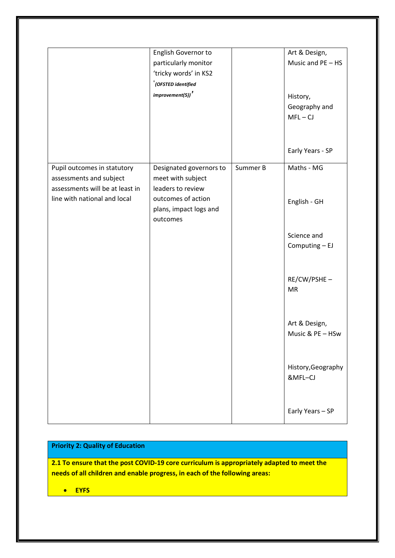|                                                                                                                           | English Governor to<br>particularly monitor<br>'tricky words' in KS2<br><sup>'</sup> (OFSTED identified<br>improvement(5))' |          | Art & Design,<br>Music and PE - HS<br>History,<br>Geography and<br>$MFL - CJ$<br>Early Years - SP |
|---------------------------------------------------------------------------------------------------------------------------|-----------------------------------------------------------------------------------------------------------------------------|----------|---------------------------------------------------------------------------------------------------|
| Pupil outcomes in statutory<br>assessments and subject<br>assessments will be at least in<br>line with national and local | Designated governors to<br>meet with subject<br>leaders to review<br>outcomes of action                                     | Summer B | Maths - MG<br>English - GH                                                                        |
|                                                                                                                           | plans, impact logs and<br>outcomes                                                                                          |          | Science and<br>Computing - EJ                                                                     |
|                                                                                                                           |                                                                                                                             |          | RE/CW/PSHE-<br><b>MR</b>                                                                          |
|                                                                                                                           |                                                                                                                             |          | Art & Design,<br>Music & PE - HSw                                                                 |
|                                                                                                                           |                                                                                                                             |          | History, Geography<br>&MFL-CJ                                                                     |
|                                                                                                                           |                                                                                                                             |          | Early Years - SP                                                                                  |

## **Priority 2: Quality of Education**

**2.1 To ensure that the post COVID-19 core curriculum is appropriately adapted to meet the needs of all children and enable progress, in each of the following areas:**

• **EYFS**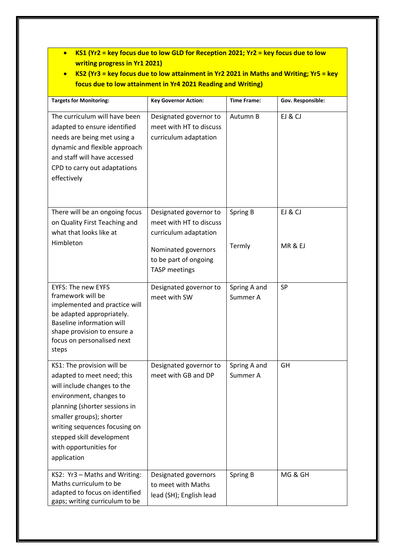- **KS1 (Yr2 = key focus due to low GLD for Reception 2021; Yr2 = key focus due to low writing progress in Yr1 2021)**
- **KS2 (Yr3 = key focus due to low attainment in Yr2 2021 in Maths and Writing; Yr5 = key focus due to low attainment in Yr4 2021 Reading and Writing)**

| <b>Targets for Monitoring:</b>                                                                                                                                                                                                                                                         | <b>Key Governor Action:</b>                                                                                                                        | <b>Time Frame:</b>       | Gov. Responsible:             |
|----------------------------------------------------------------------------------------------------------------------------------------------------------------------------------------------------------------------------------------------------------------------------------------|----------------------------------------------------------------------------------------------------------------------------------------------------|--------------------------|-------------------------------|
| The curriculum will have been<br>adapted to ensure identified<br>needs are being met using a<br>dynamic and flexible approach<br>and staff will have accessed<br>CPD to carry out adaptations<br>effectively                                                                           | Designated governor to<br>meet with HT to discuss<br>curriculum adaptation                                                                         | Autumn B                 | EJ & CJ                       |
| There will be an ongoing focus<br>on Quality First Teaching and<br>what that looks like at<br>Himbleton                                                                                                                                                                                | Designated governor to<br>meet with HT to discuss<br>curriculum adaptation<br>Nominated governors<br>to be part of ongoing<br><b>TASP</b> meetings | Spring B<br>Termly       | EJ & CJ<br><b>MR &amp; EJ</b> |
| <b>EYFS: The new EYFS</b><br>framework will be<br>implemented and practice will<br>be adapted appropriately.<br><b>Baseline information will</b><br>shape provision to ensure a<br>focus on personalised next<br>steps                                                                 | Designated governor to<br>meet with SW                                                                                                             | Spring A and<br>Summer A | SP                            |
| KS1: The provision will be<br>adapted to meet need; this<br>will include changes to the<br>environment, changes to<br>planning (shorter sessions in<br>smaller groups); shorter<br>writing sequences focusing on<br>stepped skill development<br>with opportunities for<br>application | Designated governor to<br>meet with GB and DP                                                                                                      | Spring A and<br>Summer A | GH                            |
| KS2: Yr3 - Maths and Writing:<br>Maths curriculum to be<br>adapted to focus on identified<br>gaps; writing curriculum to be                                                                                                                                                            | Designated governors<br>to meet with Maths<br>lead (SH); English lead                                                                              | Spring B                 | MG & GH                       |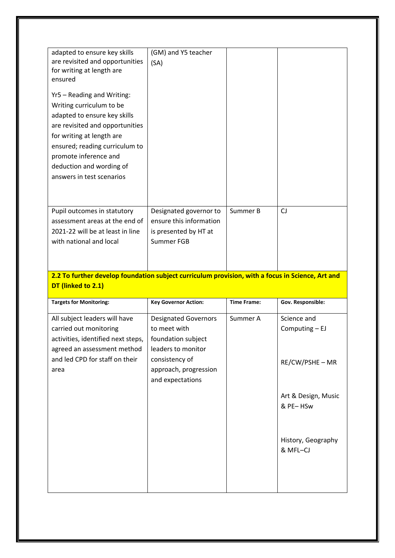| adapted to ensure key skills<br>are revisited and opportunities<br>for writing at length are<br>ensured<br>Yr5 - Reading and Writing:<br>Writing curriculum to be<br>adapted to ensure key skills<br>are revisited and opportunities<br>for writing at length are<br>ensured; reading curriculum to<br>promote inference and<br>deduction and wording of<br>answers in test scenarios | (GM) and Y5 teacher<br>(SA)                                                              |          |    |
|---------------------------------------------------------------------------------------------------------------------------------------------------------------------------------------------------------------------------------------------------------------------------------------------------------------------------------------------------------------------------------------|------------------------------------------------------------------------------------------|----------|----|
| Pupil outcomes in statutory<br>assessment areas at the end of<br>2021-22 will be at least in line<br>with national and local                                                                                                                                                                                                                                                          | Designated governor to<br>ensure this information<br>is presented by HT at<br>Summer FGB | Summer B | CJ |

# **2.2 To further develop foundation subject curriculum provision, with a focus in Science, Art and DT (linked to 2.1)**

| <b>Targets for Monitoring:</b>     | <b>Key Governor Action:</b> | <b>Time Frame:</b> | Gov. Responsible:               |
|------------------------------------|-----------------------------|--------------------|---------------------------------|
| All subject leaders will have      | <b>Designated Governors</b> | Summer A           | Science and                     |
| carried out monitoring             | to meet with                |                    | Computing $- EJ$                |
| activities, identified next steps, | foundation subject          |                    |                                 |
| agreed an assessment method        | leaders to monitor          |                    |                                 |
| and led CPD for staff on their     | consistency of              |                    | $RE/CW/PSHE-MR$                 |
| area                               | approach, progression       |                    |                                 |
|                                    | and expectations            |                    |                                 |
|                                    |                             |                    |                                 |
|                                    |                             |                    | Art & Design, Music<br>& PE-HSw |
|                                    |                             |                    |                                 |
|                                    |                             |                    |                                 |
|                                    |                             |                    |                                 |
|                                    |                             |                    | History, Geography              |
|                                    |                             |                    | & MFL-CJ                        |
|                                    |                             |                    |                                 |
|                                    |                             |                    |                                 |
|                                    |                             |                    |                                 |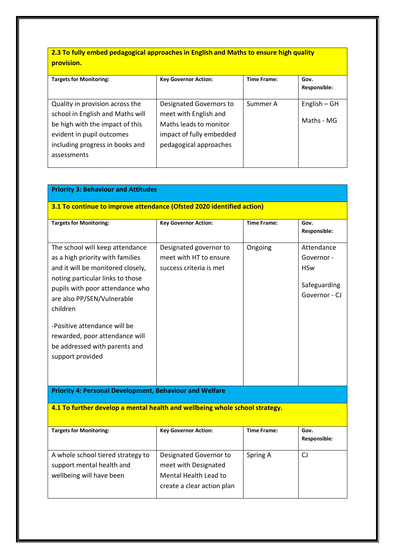**2.3 To fully embed pedagogical approaches in English and Maths to ensure high quality provision.** 

| <b>Targets for Monitoring:</b>                                                                                                                                         | <b>Key Governor Action:</b>                                                                                                      | Time Frame: | Gov.<br>Responsible:         |
|------------------------------------------------------------------------------------------------------------------------------------------------------------------------|----------------------------------------------------------------------------------------------------------------------------------|-------------|------------------------------|
| Quality in provision across the<br>school in English and Maths will<br>be high with the impact of this<br>evident in pupil outcomes<br>including progress in books and | Designated Governors to<br>meet with English and<br>Maths leads to monitor<br>impact of fully embedded<br>pedagogical approaches | Summer A    | $English - GH$<br>Maths - MG |
| assessments                                                                                                                                                            |                                                                                                                                  |             |                              |

| <b>Priority 3: Behaviour and Attitudes</b>                                                                                                                                                                                                                                                                                                       |                                                                                                       |                    |                                                                         |
|--------------------------------------------------------------------------------------------------------------------------------------------------------------------------------------------------------------------------------------------------------------------------------------------------------------------------------------------------|-------------------------------------------------------------------------------------------------------|--------------------|-------------------------------------------------------------------------|
| 3.1 To continue to improve attendance (Ofsted 2020 identified action)                                                                                                                                                                                                                                                                            |                                                                                                       |                    |                                                                         |
| <b>Targets for Monitoring:</b>                                                                                                                                                                                                                                                                                                                   | <b>Key Governor Action:</b>                                                                           | <b>Time Frame:</b> | Gov.<br><b>Responsible:</b>                                             |
| The school will keep attendance<br>as a high priority with families<br>and it will be monitored closely,<br>noting particular links to those<br>pupils with poor attendance who<br>are also PP/SEN/Vulnerable<br>children<br>-Positive attendance will be<br>rewarded, poor attendance will<br>be addressed with parents and<br>support provided | Designated governor to<br>meet with HT to ensure<br>success criteria is met                           | Ongoing            | Attendance<br>Governor -<br><b>HSw</b><br>Safeguarding<br>Governor - CJ |
| <b>Priority 4: Personal Development, Behaviour and Welfare</b>                                                                                                                                                                                                                                                                                   |                                                                                                       |                    |                                                                         |
| 4.1 To further develop a mental health and wellbeing whole school strategy.                                                                                                                                                                                                                                                                      |                                                                                                       |                    |                                                                         |
| <b>Targets for Monitoring:</b>                                                                                                                                                                                                                                                                                                                   | <b>Key Governor Action:</b>                                                                           | <b>Time Frame:</b> | Gov.<br>Responsible:                                                    |
| A whole school tiered strategy to<br>support mental health and<br>wellbeing will have been                                                                                                                                                                                                                                                       | Designated Governor to<br>meet with Designated<br>Mental Health Lead to<br>create a clear action plan | Spring A           | <b>CJ</b>                                                               |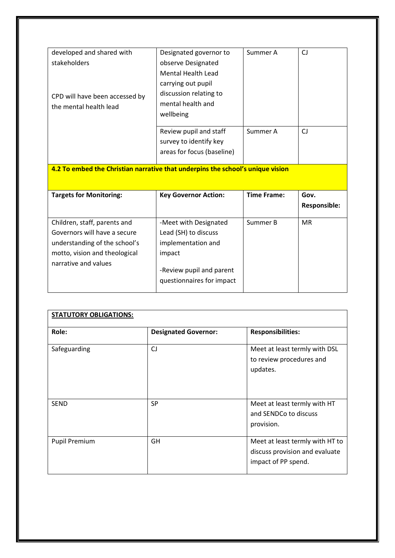| developed and shared with      | Designated governor to     | Summer A | CJ |
|--------------------------------|----------------------------|----------|----|
| stakeholders                   | observe Designated         |          |    |
|                                | Mental Health Lead         |          |    |
|                                | carrying out pupil         |          |    |
| CPD will have been accessed by | discussion relating to     |          |    |
| the mental health lead         | mental health and          |          |    |
|                                | wellbeing                  |          |    |
|                                |                            |          |    |
|                                | Review pupil and staff     | Summer A | CJ |
|                                | survey to identify key     |          |    |
|                                | areas for focus (baseline) |          |    |
|                                |                            |          |    |

**4.2 To embed the Christian narrative that underpins the school's unique vision**

| <b>Targets for Monitoring:</b> | <b>Key Governor Action:</b> | <b>Time Frame:</b> | Gov.<br>Responsible: |
|--------------------------------|-----------------------------|--------------------|----------------------|
| Children, staff, parents and   | -Meet with Designated       | Summer B           | <b>MR</b>            |
| Governors will have a secure   | Lead (SH) to discuss        |                    |                      |
| understanding of the school's  | implementation and          |                    |                      |
| motto, vision and theological  | impact                      |                    |                      |
| narrative and values           |                             |                    |                      |
|                                | -Review pupil and parent    |                    |                      |
|                                | questionnaires for impact   |                    |                      |

| <b>STATUTORY OBLIGATIONS:</b> |                             |                                                                                          |
|-------------------------------|-----------------------------|------------------------------------------------------------------------------------------|
|                               |                             |                                                                                          |
| Role:                         | <b>Designated Governor:</b> | <b>Responsibilities:</b>                                                                 |
| Safeguarding                  | CJ                          | Meet at least termly with DSL<br>to review procedures and<br>updates.                    |
| <b>SEND</b>                   | <b>SP</b>                   | Meet at least termly with HT<br>and SENDCo to discuss<br>provision.                      |
| <b>Pupil Premium</b>          | GH                          | Meet at least termly with HT to<br>discuss provision and evaluate<br>impact of PP spend. |